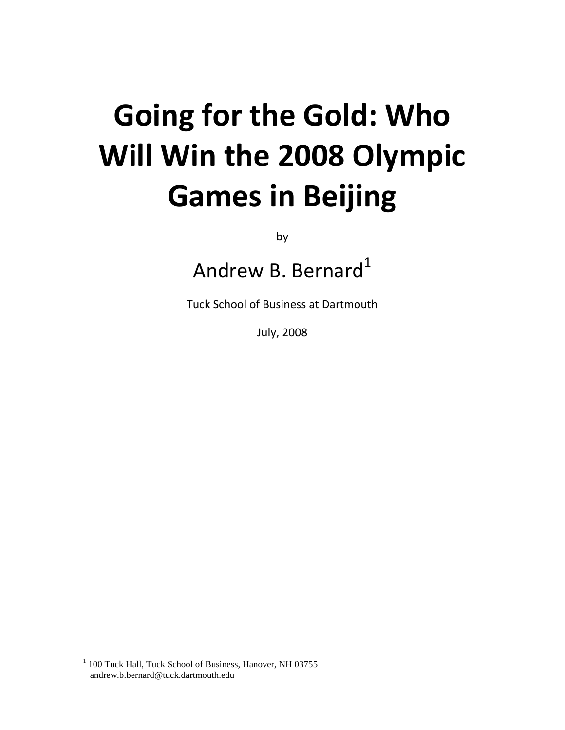# **Going for the Gold: Who Will Win the 2008 Olympic Games in Beijing**

by

Andrew B. Bernard $1$ 

Tuck School of Business at Dartmouth

July, 2008

 $\overline{a}$ 

<sup>&</sup>lt;sup>1</sup> 100 Tuck Hall, Tuck School of Business, Hanover, NH 03755 andrew.b.bernard@tuck.dartmouth.edu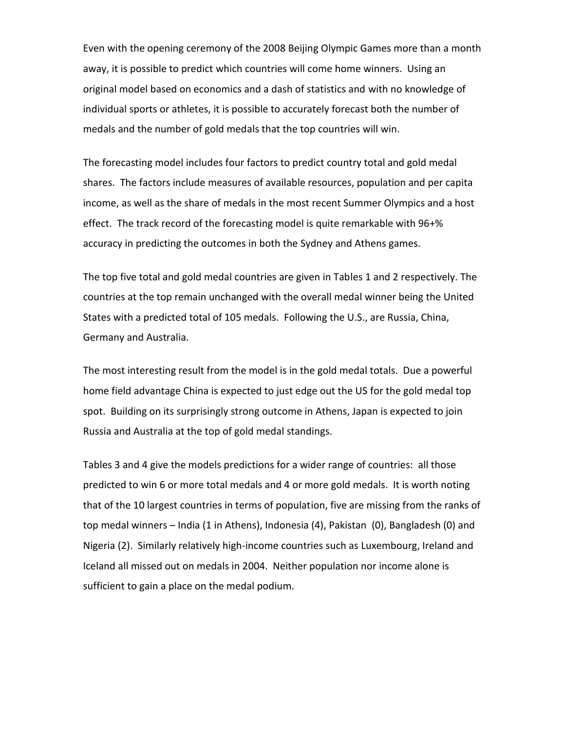Even with the opening ceremony of the 2008 Beijing Olympic Games more than a month away, it is possible to predict which countries will come home winners. Using an original model based on economics and a dash of statistics and with no knowledge of individual sports or athletes, it is possible to accurately forecast both the number of medals and the number of gold medals that the top countries will win.

The forecasting model includes four factors to predict country total and gold medal shares. The factors include measures of available resources, population and per capita income, as well as the share of medals in the most recent Summer Olympics and a host effect. The track record of the forecasting model is quite remarkable with 96+% accuracy in predicting the outcomes in both the Sydney and Athens games.

The top five total and gold medal countries are given in Tables 1 and 2 respectively. The countries at the top remain unchanged with the overall medal winner being the United States with a predicted total of 105 medals. Following the U.S., are Russia, China, Germany and Australia.

The most interesting result from the model is in the gold medal totals. Due a powerful home field advantage China is expected to just edge out the US for the gold medal top spot. Building on its surprisingly strong outcome in Athens, Japan is expected to join Russia and Australia at the top of gold medal standings.

Tables 3 and 4 give the models predictions for a wider range of countries: all those predicted to win 6 or more total medals and 4 or more gold medals. It is worth noting that of the 10 largest countries in terms of population, five are missing from the ranks of top medal winners – India (1 in Athens), Indonesia (4), Pakistan (0), Bangladesh (0) and Nigeria (2). Similarly relatively high-income countries such as Luxembourg, Ireland and Iceland all missed out on medals in 2004. Neither population nor income alone is sufficient to gain a place on the medal podium.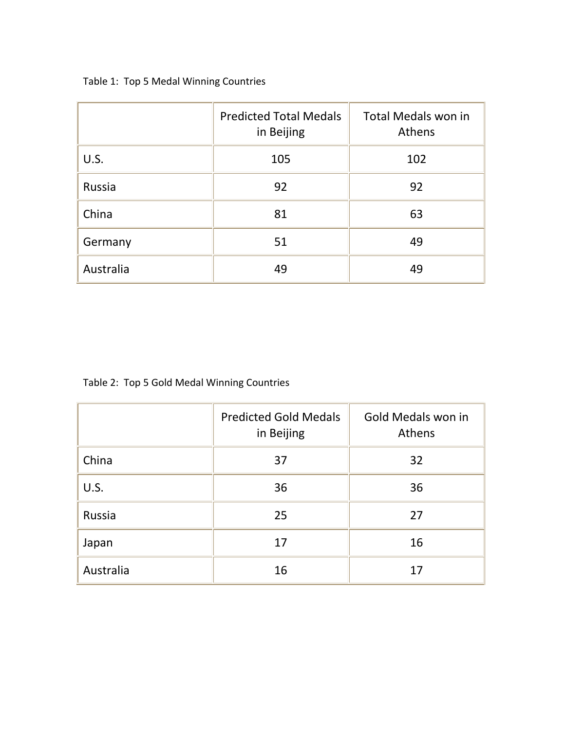|  |  |  |  | Table 1: Top 5 Medal Winning Countries |
|--|--|--|--|----------------------------------------|
|--|--|--|--|----------------------------------------|

|           | <b>Predicted Total Medals</b><br>in Beijing | Total Medals won in<br>Athens |
|-----------|---------------------------------------------|-------------------------------|
| U.S.      | 105                                         | 102                           |
| Russia    | 92                                          | 92                            |
| China     | 81                                          | 63                            |
| Germany   | 51                                          | 49                            |
| Australia | 49                                          | 49                            |

Table 2: Top 5 Gold Medal Winning Countries

|           | <b>Predicted Gold Medals</b><br>in Beijing | Gold Medals won in<br>Athens |
|-----------|--------------------------------------------|------------------------------|
| China     | 37                                         | 32                           |
| U.S.      | 36                                         | 36                           |
| Russia    | 25                                         | 27                           |
| Japan     | 17                                         | 16                           |
| Australia | 16                                         | 17                           |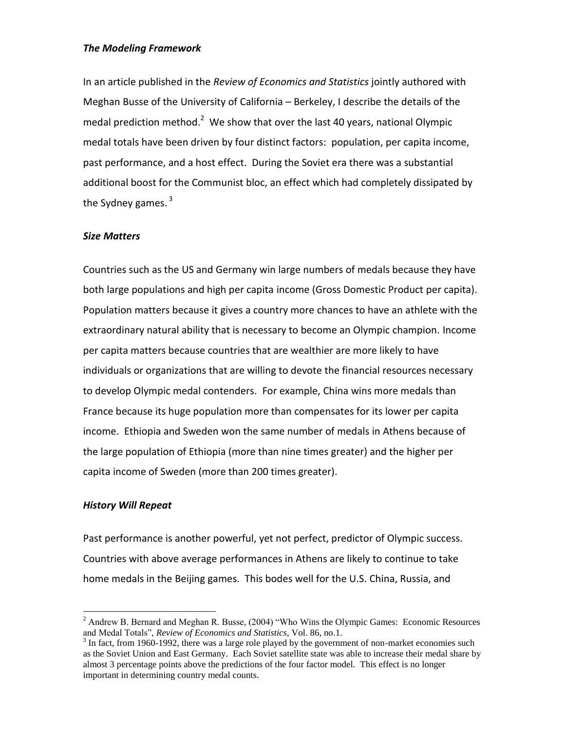#### *The Modeling Framework*

In an article published in the *Review of Economics and Statistics* jointly authored with Meghan Busse of the University of California – Berkeley, I describe the details of the medal prediction method.<sup>2</sup> We show that over the last 40 years, national Olympic medal totals have been driven by four distinct factors: population, per capita income, past performance, and a host effect. During the Soviet era there was a substantial additional boost for the Communist bloc, an effect which had completely dissipated by the Sydney games.  $3$ 

## *Size Matters*

Countries such as the US and Germany win large numbers of medals because they have both large populations and high per capita income (Gross Domestic Product per capita). Population matters because it gives a country more chances to have an athlete with the extraordinary natural ability that is necessary to become an Olympic champion. Income per capita matters because countries that are wealthier are more likely to have individuals or organizations that are willing to devote the financial resources necessary to develop Olympic medal contenders. For example, China wins more medals than France because its huge population more than compensates for its lower per capita income. Ethiopia and Sweden won the same number of medals in Athens because of the large population of Ethiopia (more than nine times greater) and the higher per capita income of Sweden (more than 200 times greater).

#### *History Will Repeat*

 $\overline{a}$ 

Past performance is another powerful, yet not perfect, predictor of Olympic success. Countries with above average performances in Athens are likely to continue to take home medals in the Beijing games. This bodes well for the U.S. China, Russia, and

<sup>&</sup>lt;sup>2</sup> Andrew B. Bernard and Meghan R. Busse,  $(2004)$  "Who Wins the Olympic Games: Economic Resources and Medal Totals", *Review of Economics and Statistics*, Vol. 86, no.1.

 $3 \text{ In fact, from 1960-1992, there was a large role played by the government of non-market economics such}$ as the Soviet Union and East Germany. Each Soviet satellite state was able to increase their medal share by almost 3 percentage points above the predictions of the four factor model. This effect is no longer important in determining country medal counts.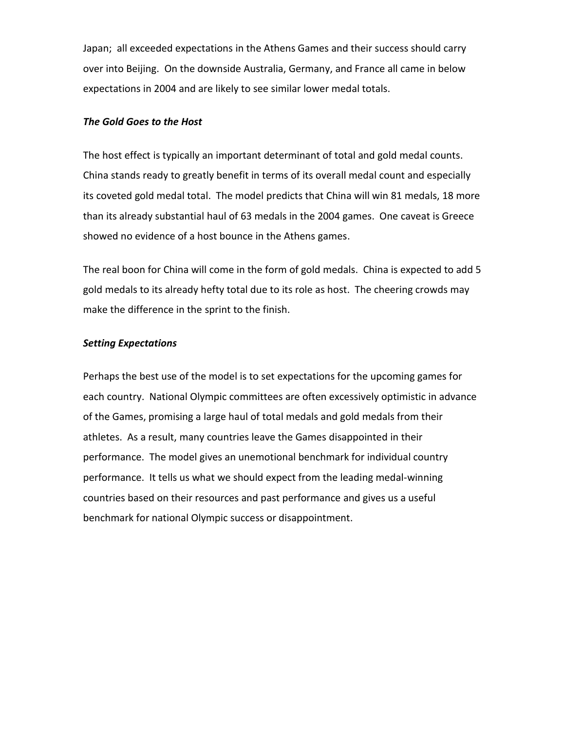Japan; all exceeded expectations in the Athens Games and their success should carry over into Beijing. On the downside Australia, Germany, and France all came in below expectations in 2004 and are likely to see similar lower medal totals.

#### *The Gold Goes to the Host*

The host effect is typically an important determinant of total and gold medal counts. China stands ready to greatly benefit in terms of its overall medal count and especially its coveted gold medal total. The model predicts that China will win 81 medals, 18 more than its already substantial haul of 63 medals in the 2004 games. One caveat is Greece showed no evidence of a host bounce in the Athens games.

The real boon for China will come in the form of gold medals. China is expected to add 5 gold medals to its already hefty total due to its role as host. The cheering crowds may make the difference in the sprint to the finish.

## *Setting Expectations*

Perhaps the best use of the model is to set expectations for the upcoming games for each country. National Olympic committees are often excessively optimistic in advance of the Games, promising a large haul of total medals and gold medals from their athletes. As a result, many countries leave the Games disappointed in their performance. The model gives an unemotional benchmark for individual country performance. It tells us what we should expect from the leading medal-winning countries based on their resources and past performance and gives us a useful benchmark for national Olympic success or disappointment.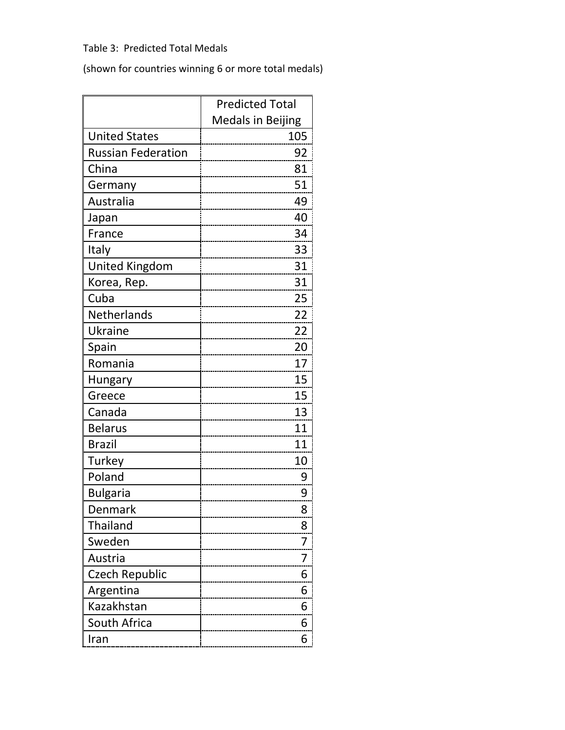# Table 3: Predicted Total Medals

(shown for countries winning 6 or more total medals)

|                           | <b>Predicted Total</b>   |
|---------------------------|--------------------------|
|                           | <b>Medals in Beijing</b> |
| <b>United States</b>      | 105                      |
| <b>Russian Federation</b> | 92                       |
| China                     | 81                       |
| Germany                   | 51                       |
| Australia                 | 49                       |
| Japan                     | 40                       |
| France                    | 34                       |
| Italy                     | 33                       |
| <b>United Kingdom</b>     | 31                       |
| Korea, Rep.               | 31                       |
| Cuba                      | 25                       |
| Netherlands               | 22                       |
| Ukraine                   | 22                       |
| Spain                     | 20                       |
| Romania                   | 17                       |
| Hungary                   | 15                       |
| Greece                    | 15                       |
| Canada                    | 13                       |
| <b>Belarus</b>            | 11                       |
| <b>Brazil</b>             | 11                       |
| Turkey                    | 10                       |
| Poland                    | 9                        |
| <b>Bulgaria</b>           | 9                        |
| Denmark                   | 8                        |
| Thailand                  | 8                        |
| Sweden                    | 7                        |
| Austria                   | 7                        |
| <b>Czech Republic</b>     | 6                        |
| Argentina                 | 6                        |
| Kazakhstan                | 6                        |
| South Africa              | 6                        |
| Iran                      | 6                        |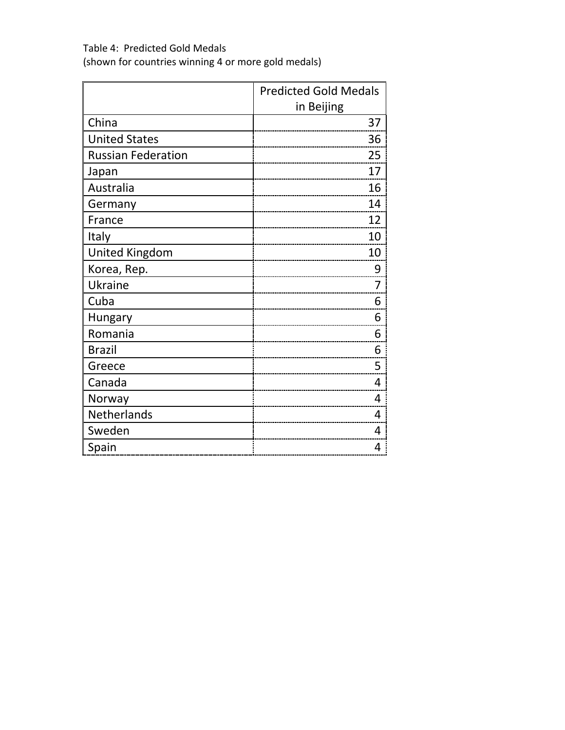Table 4: Predicted Gold Medals (shown for countries winning 4 or more gold medals)

|                           | <b>Predicted Gold Medals</b> |
|---------------------------|------------------------------|
|                           | in Beijing                   |
| China                     | 37                           |
| <b>United States</b>      | 36                           |
| <b>Russian Federation</b> | 25                           |
| Japan                     | 17                           |
| Australia                 | 16                           |
| Germany                   | 14                           |
| France                    | 12                           |
| Italy                     | 10                           |
| <b>United Kingdom</b>     | 10                           |
| Korea, Rep.               | 9                            |
| Ukraine                   | 7                            |
| Cuba                      | 6                            |
| Hungary                   | 6                            |
| Romania                   | 6                            |
| <b>Brazil</b>             | 6                            |
| Greece                    | 5                            |
| Canada                    | 4                            |
| Norway                    | 4                            |
| Netherlands               | 4                            |
| Sweden                    | 4                            |
| Spain                     | 4                            |